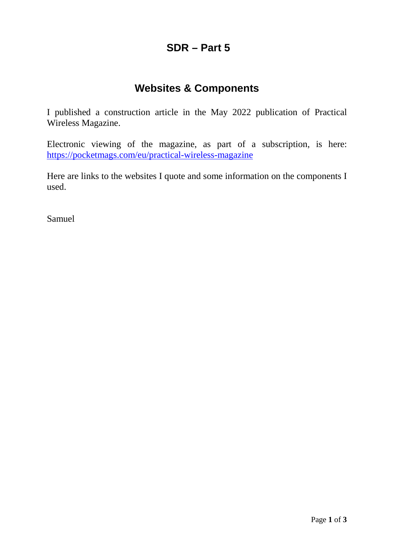# **SDR – Part 5**

# **Websites & Components**

I published a construction article in the May 2022 publication of Practical Wireless Magazine.

Electronic viewing of the magazine, as part of a subscription, is here: <https://pocketmags.com/eu/practical-wireless-magazine>

Here are links to the websites I quote and some information on the components I used.

Samuel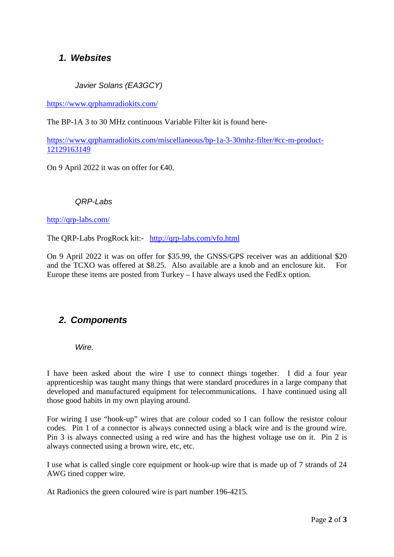## *1. Websites*

*Javier Solans (EA3GCY)*

<https://www.qrphamradiokits.com/>

The BP-1A 3 to 30 MHz continuous Variable Filter kit is found here-

[https://www.qrphamradiokits.com/miscellaneous/bp-1a-3-30mhz-filter/#cc-m-product-](https://www.qrphamradiokits.com/miscellaneous/bp-1a-3-30mhz-filter/#cc-m-product-12129163149)[12129163149](https://www.qrphamradiokits.com/miscellaneous/bp-1a-3-30mhz-filter/#cc-m-product-12129163149)

On 9 April 2022 it was on offer for €40.

*QRP-Labs*

<http://qrp-labs.com/>

The QRP-Labs ProgRock kit:- http://qrp-labs.com/vfo.html

On 9 April 2022 it was on offer for \$35.99, the GNSS/GPS receiver was an additional \$20 and the TCXO was offered at \$8.25. Also available are a knob and an enclosure kit. For Europe these items are posted from Turkey – I have always used the FedEx option.

## *2. Components*

*Wire.*

I have been asked about the wire I use to connect things together. I did a four year apprenticeship was taught many things that were standard procedures in a large company that developed and manufactured equipment for telecommunications. I have continued using all those good habits in my own playing around.

For wiring I use "hook-up" wires that are colour coded so I can follow the resistor colour codes. Pin 1 of a connector is always connected using a black wire and is the ground wire. Pin 3 is always connected using a red wire and has the highest voltage use on it. Pin 2 is always connected using a brown wire, etc, etc.

I use what is called single core equipment or hook-up wire that is made up of 7 strands of 24 AWG tined copper wire.

At Radionics the green coloured wire is part number 196-4215.